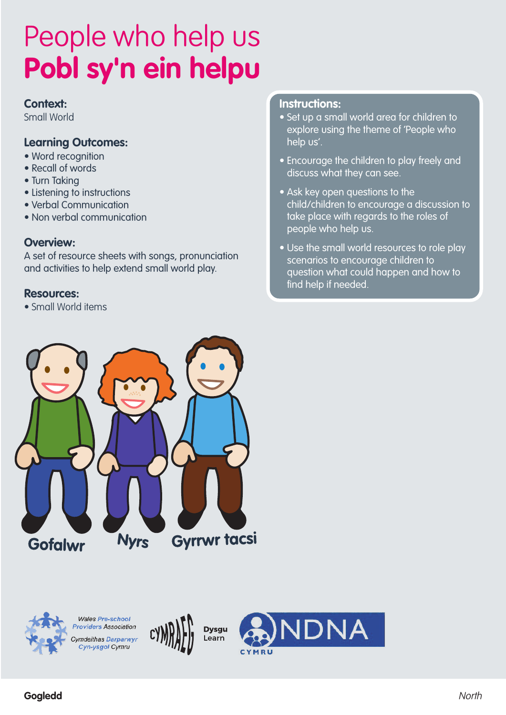#### **Context:**

Small World

### **Learning Outcomes:**

- Word recognition
- Recall of words
- Turn Taking
- Listening to instructions
- Verbal Communication
- Non verbal communication

#### **Overview:**

A set of resource sheets with songs, pronunciation and activities to help extend small world play.

#### **Resources:**

• Small World items

#### **Instructions:**

- Set up a small world area for children to explore using the theme of 'People who help us'.
- Encourage the children to play freely and discuss what they can see.
- Ask key open questions to the child/children to encourage a discussion to take place with regards to the roles of people who help us.
- Use the small world resources to role play scenarios to encourage children to question what could happen and how to find help if needed.





**Wales Pre-school Providers Association** Cymdeithas Darparwyr Cyn-ysgol Cymru





**Gogledd** North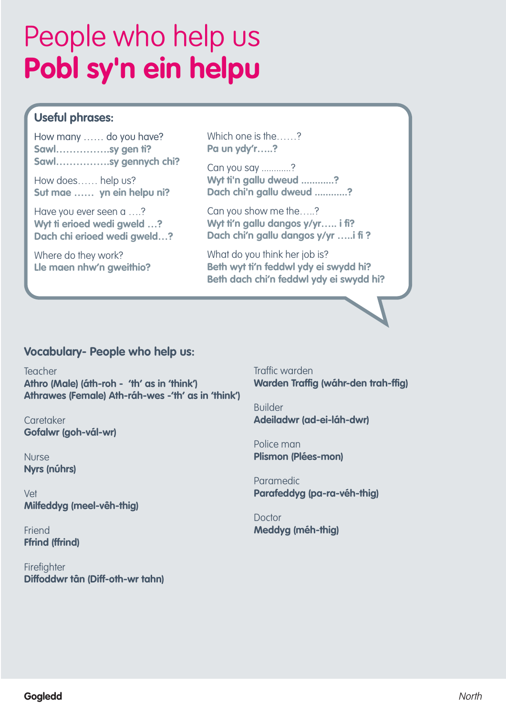## **Useful phrases:**

How many …… do you have? **Sawl…………….sy gen ti? Sawl…………….sy gennych chi?**

How does…… help us? **Sut mae …… yn ein helpu ni?**

Have you ever seen a ….? **Wyt ti erioed wedi gweld …? Dach chi erioed wedi gweld…?**

Where do they work? **Lle maen nhw'n gweithio?** Which one is the……? **Pa un ydy'r…..?**

Can you say ............? **Wyt ti'n gallu dweud ............? Dach chi'n gallu dweud ............?**

Can you show me the…..? **Wyt ti'n gallu dangos y/yr….. i fi? Dach chi'n gallu dangos y/yr …..i fi ?**

What do you think her job is? **Beth wyt ti'n feddwl ydy ei swydd hi? Beth dach chi'n feddwl ydy ei swydd hi?**

### **Vocabulary- People who help us:**

Teacher **Athro (Male) (áth-roh - 'th' as in 'think') Athrawes (Female) Ath-ráh-wes -'th' as in 'think')**

**Caretaker Gofalwr (goh-vál-wr)**

Nurse **Nyrs (núhrs)**

Vet **Milfeddyg (meel-vêh-thig)**

Friend **Ffrind (ffrind)**

**Firefighter Diffoddwr tân (Diff-oth-wr tahn)** Traffic warden **Warden Traffig (wáhr-den trah-ffig)**

Builder **Adeiladwr (ad-ei-láh-dwr)**

Police man **Plismon (Plées-mon)**

Paramedic **Parafeddyg (pa-ra-véh-thig)**

Doctor **Meddyg (méh-thig)**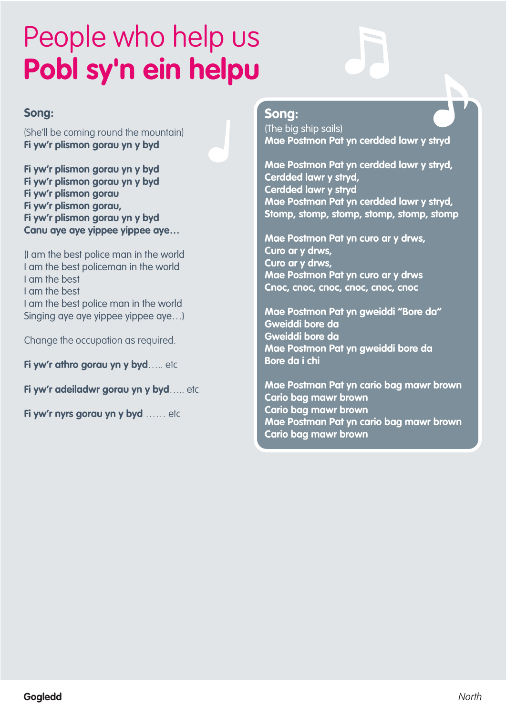### **Song:**

(She'll be coming round the mountain) **Fi yw'r plismon gorau yn y byd**

**Fi yw'r plismon gorau yn y byd Fi yw'r plismon gorau yn y byd Fi yw'r plismon gorau Fi yw'r plismon gorau, Fi yw'r plismon gorau yn y byd Canu aye aye yippee yippee aye…**

(I am the best police man in the world I am the best policeman in the world I am the best I am the best I am the best police man in the world Singing aye aye yippee yippee aye…)

Change the occupation as required.

**Fi yw'r athro gorau yn y byd**….. etc

**Fi yw'r adeiladwr gorau yn y byd**….. etc

**Fi yw'r nyrs gorau yn y byd** …… etc

## **Song:**

(The big ship sails) **Mae Postmon Pat yn cerdded lawr y stryd**

**Mae Postmon Pat yn cerdded lawr y stryd, Cerdded lawr y stryd, Cerdded lawr y stryd Mae Postman Pat yn cerdded lawr y stryd, Stomp, stomp, stomp, stomp, stomp, stomp**

**Mae Postmon Pat yn curo ar y drws, Curo ar y drws, Curo ar y drws, Mae Postmon Pat yn curo ar y drws Cnoc, cnoc, cnoc, cnoc, cnoc, cnoc**

**Mae Postmon Pat yn gweiddi "Bore da" Gweiddi bore da Gweiddi bore da Mae Postmon Pat yn gweiddi bore da Bore da i chi**

**Mae Postman Pat yn cario bag mawr brown Cario bag mawr brown Cario bag mawr brown Mae Postman Pat yn cario bag mawr brown Cario bag mawr brown**